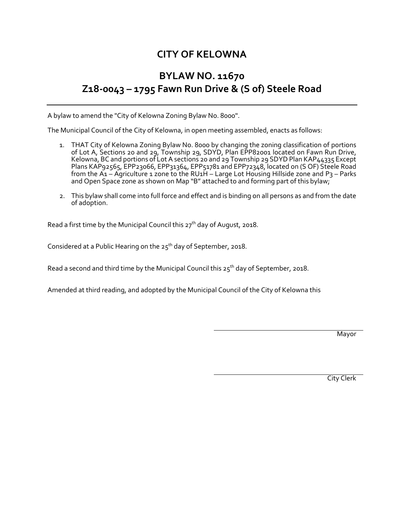## **CITY OF KELOWNA**

## **BYLAW NO. 11670 Z18-0043 – 1795 Fawn Run Drive & (S of) Steele Road**

A bylaw to amend the "City of Kelowna Zoning Bylaw No. 8000".

The Municipal Council of the City of Kelowna, in open meeting assembled, enacts as follows:

- 1. THAT City of Kelowna Zoning Bylaw No. 8000 by changing the zoning classification of portions of Lot A, Sections 20 and 29, Township 29, SDYD, Plan EPP82001 located on Fawn Run Drive, Kelowna, BC and portions of Lot A sections 20 and 29 Township 29 SDYD Plan KAP44335 Except Plans KAP92565, EPP23066, EPP31364, EPP51781 and EPP72348, located on (S OF) Steele Road from the A1 – Agriculture 1 zone to the RU1H – Large Lot Housing Hillside zone and P3 – Parks and Open Space zone as shown on Map "B" attached to and forming part of this bylaw;
- 2. This bylaw shall come into full force and effect and is binding on all persons as and from the date of adoption.

Read a first time by the Municipal Council this 27<sup>th</sup> day of August, 2018.

Considered at a Public Hearing on the 25<sup>th</sup> day of September, 2018.

Read a second and third time by the Municipal Council this  $25<sup>th</sup>$  day of September, 2018.

Amended at third reading, and adopted by the Municipal Council of the City of Kelowna this

Mayor

City Clerk